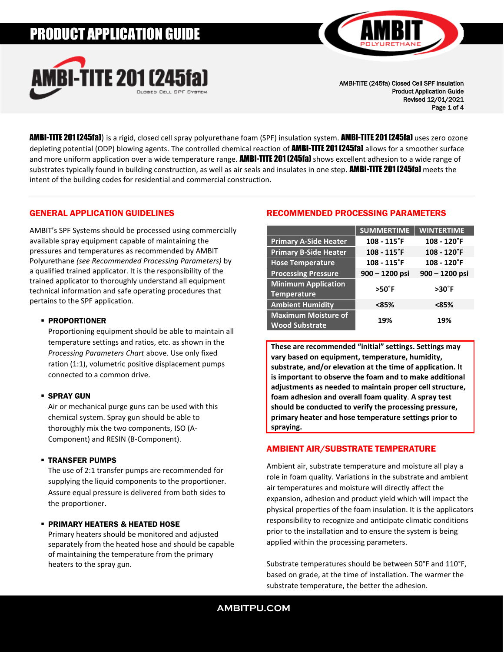# PRODUCT APPLICATION GUIDE





AMBI-TITE (245fa) Closed Cell SPF Insulation Product Application Guide Revised 12/01/2021 Page 1 of 4

**AMBI-TITE 201 (245fa)**) is a rigid, closed cell spray polyurethane foam (SPF) insulation system. **AMBI-TITE 201 (245fa)** uses zero ozone depleting potential (ODP) blowing agents. The controlled chemical reaction of **AMBI-TITE 201 (245fa)** allows for a smoother surface and more uniform application over a wide temperature range. **AMBI-TITE 201 (245fa)** shows excellent adhesion to a wide range of substrates typically found in building construction, as well as air seals and insulates in one step. **AMBI-TITE 201 (245fa)** meets the intent of the building codes for residential and commercial construction.

## GENERAL APPLICATION GUIDELINES

AMBIT's SPF Systems should be processed using commercially available spray equipment capable of maintaining the pressures and temperatures as recommended by AMBIT Polyurethane *(see Recommended Processing Parameters)* by a qualified trained applicator. It is the responsibility of the trained applicator to thoroughly understand all equipment technical information and safe operating procedures that pertains to the SPF application.

## ▪ PROPORTIONER

Proportioning equipment should be able to maintain all temperature settings and ratios, etc. as shown in the *Processing Parameters Chart* above. Use only fixed ration (1:1), volumetric positive displacement pumps connected to a common drive.

## ▪ SPRAY GUN

Air or mechanical purge guns can be used with this chemical system. Spray gun should be able to thoroughly mix the two components, ISO (A-Component) and RESIN (B-Component).

## ▪ TRANSFER PUMPS

The use of 2:1 transfer pumps are recommended for supplying the liquid components to the proportioner. Assure equal pressure is delivered from both sides to the proportioner.

## **· PRIMARY HEATERS & HEATED HOSE**

Primary heaters should be monitored and adjusted separately from the heated hose and should be capable of maintaining the temperature from the primary heaters to the spray gun.

# RECOMMENDED PROCESSING PARAMETERS

|                                                     | <b>SUMMERTIME</b>          | <b>WINTERTIME</b> |
|-----------------------------------------------------|----------------------------|-------------------|
| <b>Primary A-Side Heater</b>                        | $108 - 115$ <sup>°</sup> F | $108 - 120$ °F    |
| <b>Primary B-Side Heater</b>                        | $108 - 115$ <sup>°</sup> F | 108 - 120°F       |
| <b>Hose Temperature</b>                             | $108 - 115$ <sup>°</sup> F | $108 - 120$ °F    |
| <b>Processing Pressure</b>                          | 900 – 1200 psi             | $900 - 1200$ psi  |
| <b>Minimum Application</b><br><b>Temperature</b>    | $>50^\circ$ F              | >30°F             |
| <b>Ambient Humidity</b>                             | $85%$                      | <85%              |
| <b>Maximum Moisture of</b><br><b>Wood Substrate</b> | 19%                        | 19%               |

**These are recommended "initial" settings. Settings may vary based on equipment, temperature, humidity, substrate, and/or elevation at the time of application. It is important to observe the foam and to make additional adjustments as needed to maintain proper cell structure, foam adhesion and overall foam quality**. **A spray test should be conducted to verify the processing pressure, primary heater and hose temperature settings prior to spraying.**

# AMBIENT AIR/SUBSTRATE TEMPERATURE

Ambient air, substrate temperature and moisture all play a role in foam quality. Variations in the substrate and ambient air temperatures and moisture will directly affect the expansion, adhesion and product yield which will impact the physical properties of the foam insulation. It is the applicators responsibility to recognize and anticipate climatic conditions prior to the installation and to ensure the system is being applied within the processing parameters.

Substrate temperatures should be between 50°F and 110°F, based on grade, at the time of installation. The warmer the substrate temperature, the better the adhesion.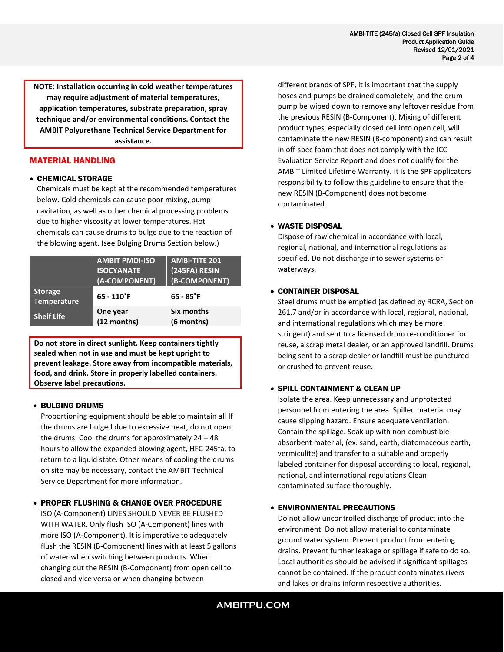**NOTE: Installation occurring in cold weather temperatures may require adjustment of material temperatures, application temperatures, substrate preparation, spray technique and/or environmental conditions. Contact the AMBIT Polyurethane Technical Service Department for assistance.**

## MATERIAL HANDLING

## • CHEMICAL STORAGE

Chemicals must be kept at the recommended temperatures below. Cold chemicals can cause poor mixing, pump cavitation, as well as other chemical processing problems due to higher viscosity at lower temperatures. Hot chemicals can cause drums to bulge due to the reaction of the blowing agent. (see Bulging Drums Section below.)

|                                      | <b>AMBIT PMDI-ISO</b><br><b>ISOCYANATE</b><br>(A-COMPONENT) | <b>AMBI-TITE 201</b><br>(245FA) RESIN<br>(B-COMPONENT) |
|--------------------------------------|-------------------------------------------------------------|--------------------------------------------------------|
| <b>Storage</b><br><b>Temperature</b> | $65 - 110$ °F                                               | $65 - 85$ °F                                           |
| <b>Shelf Life</b>                    | One year<br>(12 months)                                     | Six months<br>(6 months)                               |

**Do not store in direct sunlight. Keep containers tightly sealed when not in use and must be kept upright to prevent leakage. Store away from incompatible materials, food, and drink. Store in properly labelled containers. Observe label precautions.**

## • BULGING DRUMS

Proportioning equipment should be able to maintain all If the drums are bulged due to excessive heat, do not open the drums. Cool the drums for approximately 24 – 48 hours to allow the expanded blowing agent, HFC-245fa, to return to a liquid state. Other means of cooling the drums on site may be necessary, contact the AMBIT Technical Service Department for more information.

## • PROPER FLUSHING & CHANGE OVER PROCEDURE

ISO (A-Component) LINES SHOULD NEVER BE FLUSHED WITH WATER. Only flush ISO (A-Component) lines with more ISO (A-Component). It is imperative to adequately flush the RESIN (B-Component) lines with at least 5 gallons of water when switching between products. When changing out the RESIN (B-Component) from open cell to closed and vice versa or when changing between

different brands of SPF, it is important that the supply hoses and pumps be drained completely, and the drum pump be wiped down to remove any leftover residue from the previous RESIN (B-Component). Mixing of different product types, especially closed cell into open cell, will contaminate the new RESIN (B-component) and can result in off-spec foam that does not comply with the ICC Evaluation Service Report and does not qualify for the AMBIT Limited Lifetime Warranty. It is the SPF applicators responsibility to follow this guideline to ensure that the new RESIN (B-Component) does not become contaminated.

## • WASTE DISPOSAL

Dispose of raw chemical in accordance with local, regional, national, and international regulations as specified. Do not discharge into sewer systems or waterways.

#### • CONTAINER DISPOSAL

Steel drums must be emptied (as defined by RCRA, Section 261.7 and/or in accordance with local, regional, national, and international regulations which may be more stringent) and sent to a licensed drum re-conditioner for reuse, a scrap metal dealer, or an approved landfill. Drums being sent to a scrap dealer or landfill must be punctured or crushed to prevent reuse.

## • SPILL CONTAINMENT & CLEAN UP

Isolate the area. Keep unnecessary and unprotected personnel from entering the area. Spilled material may cause slipping hazard. Ensure adequate ventilation. Contain the spillage. Soak up with non-combustible absorbent material, (ex. sand, earth, diatomaceous earth, vermiculite) and transfer to a suitable and properly labeled container for disposal according to local, regional, national, and international regulations Clean contaminated surface thoroughly.

## • ENVIRONMENTAL PRECAUTIONS

Do not allow uncontrolled discharge of product into the environment. Do not allow material to contaminate ground water system. Prevent product from entering drains. Prevent further leakage or spillage if safe to do so. Local authorities should be advised if significant spillages cannot be contained. If the product contaminates rivers and lakes or drains inform respective authorities.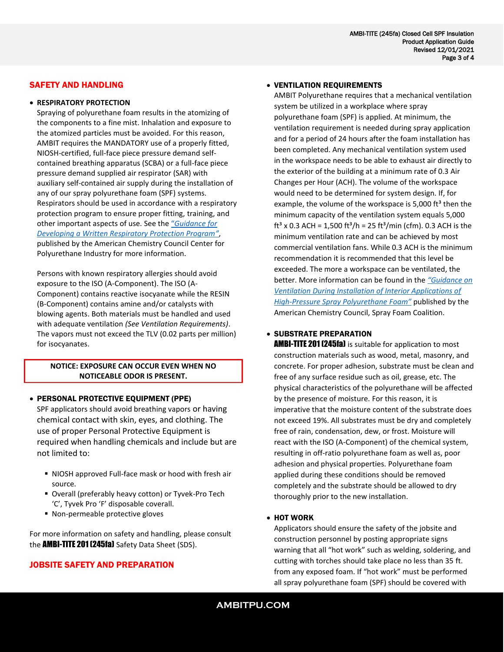## SAFETY AND HANDLING

#### • **RESPIRATORY PROTECTION**

Spraying of polyurethane foam results in the atomizing of the components to a fine mist. Inhalation and exposure to the atomized particles must be avoided. For this reason, AMBIT requires the MANDATORY use of a properly fitted, NIOSH-certified, full-face piece pressure demand selfcontained breathing apparatus (SCBA) or a full-face piece pressure demand supplied air respirator (SAR) with auxiliary self-contained air supply during the installation of any of our spray polyurethane foam (SPF) systems. Respirators should be used in accordance with a respiratory protection program to ensure proper fitting, training, and other important aspects of use. See the "*[Guidance for](https://polyurethane.americanchemistry.com/Resources-and-Document-Library/Guidance-for-Developing-a-Written-Respiratory-Protection-Program.pdf)  [Developing a Written Respiratory Protection Program](https://polyurethane.americanchemistry.com/Resources-and-Document-Library/Guidance-for-Developing-a-Written-Respiratory-Protection-Program.pdf)"*, published by the American Chemistry Council Center for Polyurethane Industry for more information.

Persons with known respiratory allergies should avoid exposure to the ISO (A-Component). The ISO (A-Component) contains reactive isocyanate while the RESIN (B-Component) contains amine and/or catalysts with blowing agents. Both materials must be handled and used with adequate ventilation *(See Ventilation Requirements)*. The vapors must not exceed the TLV (0.02 parts per million) for isocyanates.

## **NOTICE: EXPOSURE CAN OCCUR EVEN WHEN NO NOTICEABLE ODOR IS PRESENT.**

#### • PERSONAL PROTECTIVE EQUIPMENT (PPE)

SPF applicators should avoid breathing vapors or having chemical contact with skin, eyes, and clothing. The use of proper Personal Protective Equipment is required when handling chemicals and include but are not limited to:

- NIOSH approved Full-face mask or hood with fresh air source.
- Overall (preferably heavy cotton) or Tyvek-Pro Tech 'C', Tyvek Pro 'F' disposable coverall.
- Non-permeable protective gloves

For more information on safety and handling, please consult the **AMBI-TITE 201 (245fa)** Safety Data Sheet (SDS).

## JOBSITE SAFETY AND PREPARATION

#### • VENTILATION REQUIREMENTS

AMBIT Polyurethane requires that a mechanical ventilation system be utilized in a workplace where spray polyurethane foam (SPF) is applied. At minimum, the ventilation requirement is needed during spray application and for a period of 24 hours after the foam installation has been completed. Any mechanical ventilation system used in the workspace needs to be able to exhaust air directly to the exterior of the building at a minimum rate of 0.3 Air Changes per Hour (ACH). The volume of the workspace would need to be determined for system design. If, for example, the volume of the workspace is 5,000 ft $^3$  then the minimum capacity of the ventilation system equals 5,000 ft<sup>3</sup> x 0.3 ACH = 1,500 ft<sup>3</sup>/h = 25 ft<sup>3</sup>/min (cfm). 0.3 ACH is the minimum ventilation rate and can be achieved by most commercial ventilation fans. While 0.3 ACH is the minimum recommendation it is recommended that this level be exceeded. The more a workspace can be ventilated, the better. More information can be found in the *["Guidance on](https://polyurethane.americanchemistry.com/Ventilation-Considerations-for-Spray-Polyurethane-Foam.pdf)  [Ventilation During Installation of Interior Applications of](https://polyurethane.americanchemistry.com/Ventilation-Considerations-for-Spray-Polyurethane-Foam.pdf)  [High-Pressure Spray Polyurethane](https://polyurethane.americanchemistry.com/Ventilation-Considerations-for-Spray-Polyurethane-Foam.pdf) Foam"* published by the American Chemistry Council, Spray Foam Coalition.

## • SUBSTRATE PREPARATION

AMBI-TITE 201 (245fa) is suitable for application to most construction materials such as wood, metal, masonry, and concrete. For proper adhesion, substrate must be clean and free of any surface residue such as oil, grease, etc. The physical characteristics of the polyurethane will be affected by the presence of moisture. For this reason, it is imperative that the moisture content of the substrate does not exceed 19%. All substrates must be dry and completely free of rain, condensation, dew, or frost. Moisture will react with the ISO (A-Component) of the chemical system, resulting in off-ratio polyurethane foam as well as, poor adhesion and physical properties. Polyurethane foam applied during these conditions should be removed completely and the substrate should be allowed to dry thoroughly prior to the new installation.

## • HOT WORK

Applicators should ensure the safety of the jobsite and construction personnel by posting appropriate signs warning that all "hot work" such as welding, soldering, and cutting with torches should take place no less than 35 ft. from any exposed foam. If "hot work" must be performed all spray polyurethane foam (SPF) should be covered with